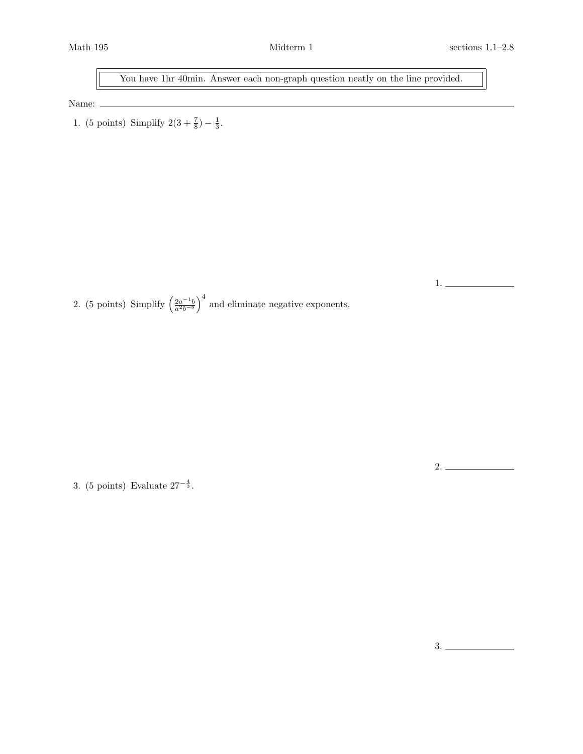1.

You have 1hr 40min. Answer each non-graph question neatly on the line provided.

Name:  $\_$ 

1. (5 points) Simplify  $2(3 + \frac{7}{8}) - \frac{1}{3}$ .

2. (5 points) Simplify  $\left(\frac{2a^{-1}b}{a^2b^{-8}}\right)^4$  and eliminate negative exponents.

3. (5 points) Evaluate  $27^{-\frac{4}{3}}$ .

3.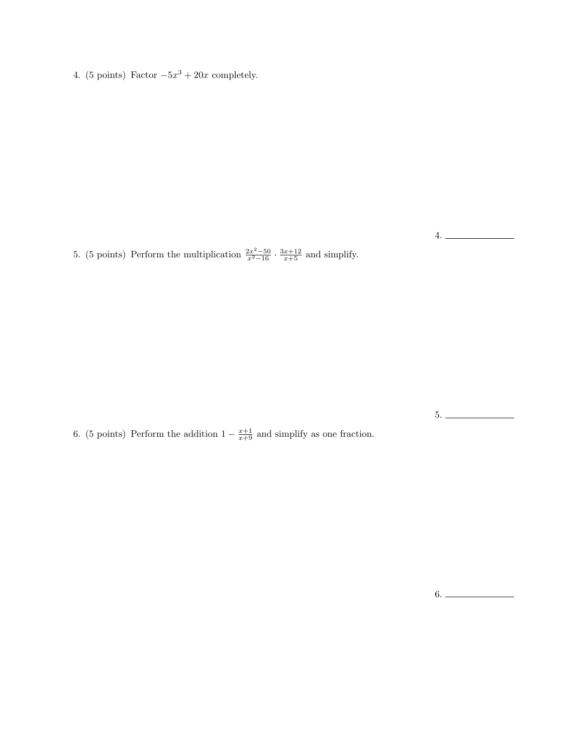4. (5 points) Factor  $-5x^3 + 20x$  completely.

5. (5 points) Perform the multiplication  $\frac{2x^2-50}{x^2-16} \cdot \frac{3x+12}{x+5}$  and simplify.

6. (5 points) Perform the addition  $1 - \frac{x+1}{x+9}$  and simplify as one fraction.

5.

4.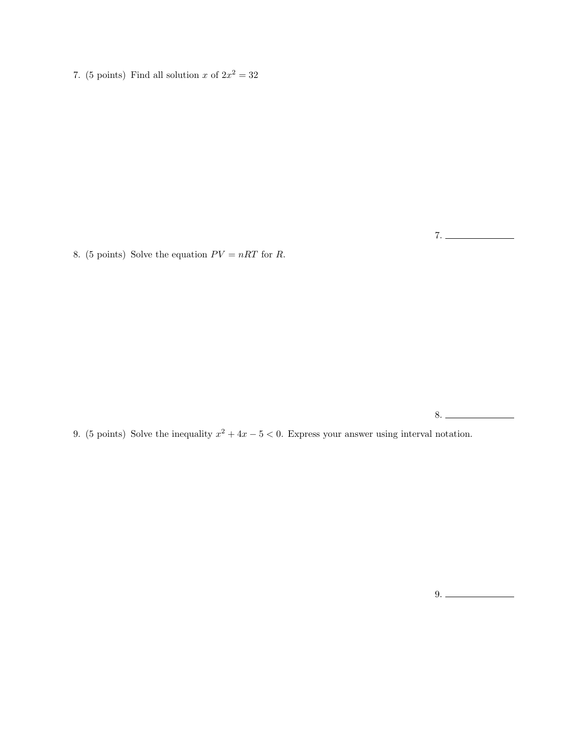7. (5 points) Find all solution x of  $2x^2 = 32$ 

8. (5 points) Solve the equation  $PV = nRT$  for R.

8.

9. (5 points) Solve the inequality  $x^2 + 4x - 5 < 0$ . Express your answer using interval notation.

 $9.$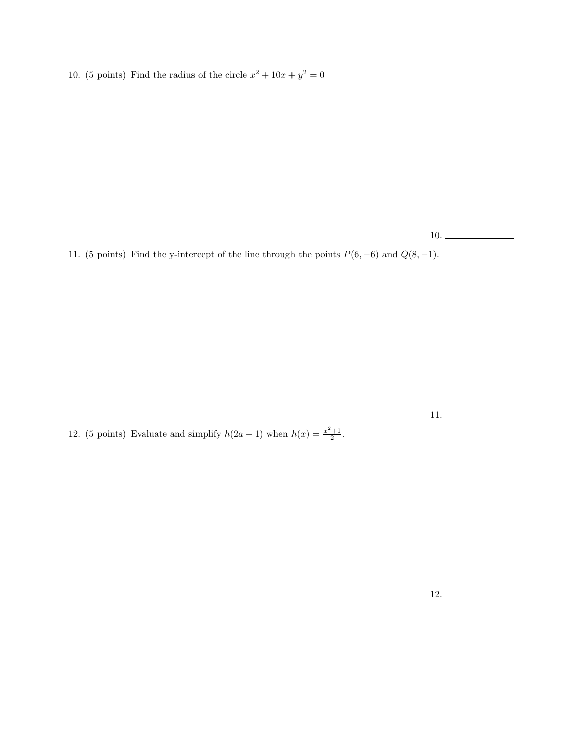10. (5 points) Find the radius of the circle  $x^2 + 10x + y^2 = 0$ 

10.

11. (5 points) Find the y-intercept of the line through the points  $P(6, -6)$  and  $Q(8, -1)$ .

11.

12. (5 points) Evaluate and simplify  $h(2a-1)$  when  $h(x) = \frac{x^2+1}{2}$ .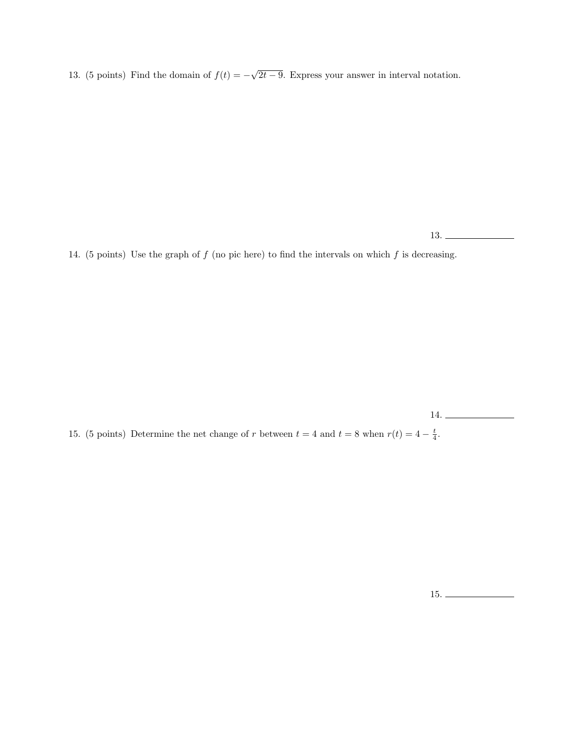13. (5 points) Find the domain of  $f(t) = -\sqrt{2t-9}$ . Express your answer in interval notation.

13.

14. (5 points) Use the graph of  $f$  (no pic here) to find the intervals on which  $f$  is decreasing.

14.

15. (5 points) Determine the net change of r between  $t = 4$  and  $t = 8$  when  $r(t) = 4 - \frac{t}{4}$ .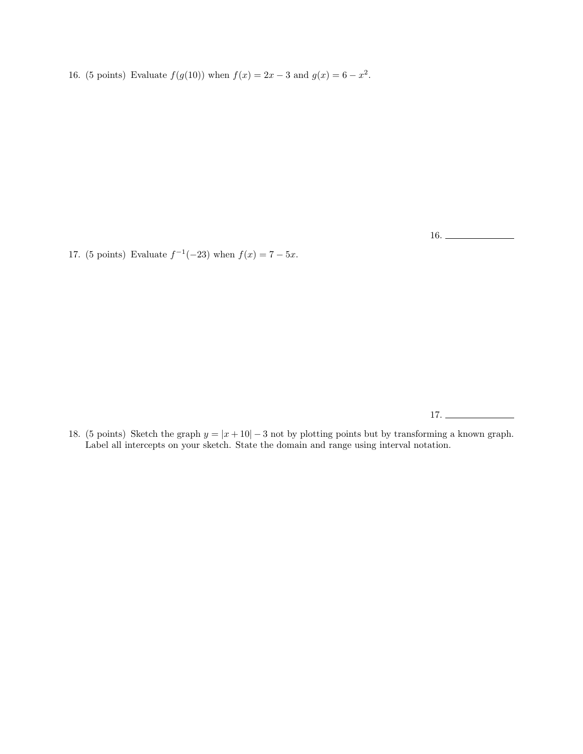16. (5 points) Evaluate  $f(g(10))$  when  $f(x) = 2x - 3$  and  $g(x) = 6 - x^2$ .

16.

17. (5 points) Evaluate  $f^{-1}(-23)$  when  $f(x) = 7 - 5x$ .

17.

18. (5 points) Sketch the graph  $y = |x + 10| - 3$  not by plotting points but by transforming a known graph. Label all intercepts on your sketch. State the domain and range using interval notation.